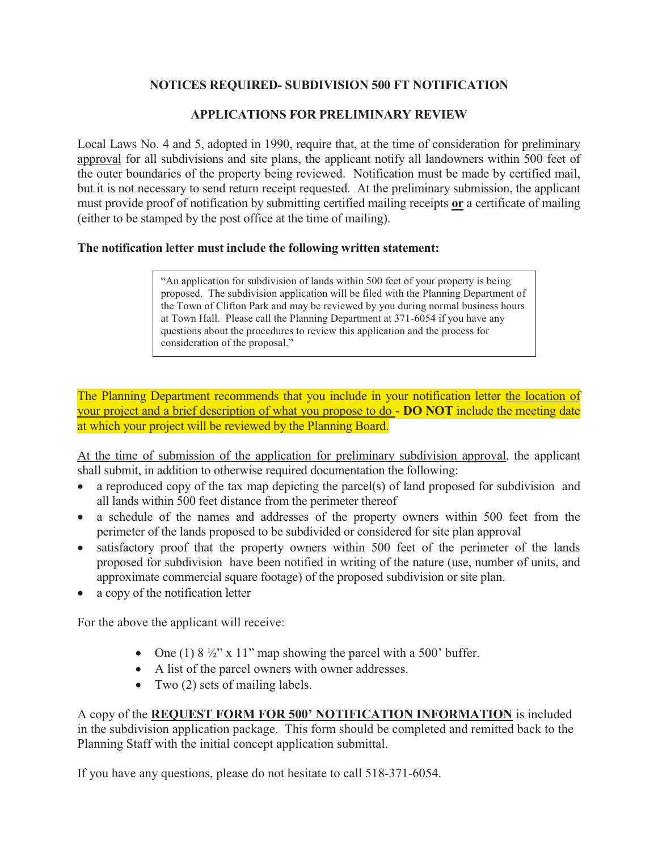## **NOTICES REQUIRED- SUBDIVISION 500 FT NOTIFICATION**

### **APPLICATIONS FOR PRELIMINARY REVIEW**

Local Laws No. 4 and 5, adopted in 1990, require that, at the time of consideration for preliminary approval for all subdivisions and site plans, the applicant notify all landowners within 500 feet of the outer boundaries of the property being reviewed. Notification must be made by certified mail, but it is not necessary to send return receipt requested. At the preliminary submission, the applicant must provide proof of notification by submitting certified mailing receipts **or** a certificate of mailing (either to be stamped by the post office at the time of mailing).

#### **The notification letter must include the following written statement:**

"An application for subdivision of lands within 500 feet of your property is being proposed. The subdivision application will be filed with the Planning Department of the Town of Clifton Park and may be reviewed by you during normal business hours at Town Hall. Please call the Planning Department at 371-6054 if you have any questions about the procedures to review this application and the process for consideration of the proposal."

The Planning Department recommends that you include in your notification letter the location of your project and a brief description of what you propose to do - **DO NOT** include the meeting date at which your project will be reviewed by the Planning Board.

At the time of submission of the application for preliminary subdivision approval, the applicant shall submit, in addition to otherwise required documentation the following:

- a reproduced copy of the tax map depicting the parcel(s) of land proposed for subdivision and all lands within 500 feet distance from the perimeter thereof
- a schedule of the names and addresses of the property owners within 500 feet from the perimeter of the lands proposed to be subdivided or considered for site plan approval
- satisfactory proof that the property owners within 500 feet of the perimeter of the lands proposed for subdivision have been notified in writing of the nature (use, number of units, and approximate commercial square footage) of the proposed subdivision or site plan.
- a copy of the notification letter

For the above the applicant will receive:

- One (1)  $8\frac{1}{2}$ " x 11" map showing the parcel with a 500' buffer.
- A list of the parcel owners with owner addresses.
- Two (2) sets of mailing labels.

A copy of the **REQUEST FORM FOR 500' NOTIFICATION INFORMATION** is included in the subdivision application package. This form should be completed and remitted back to the Planning Staff with the initial concept application submittal.

If you have any questions, please do not hesitate to call 518-371-6054.